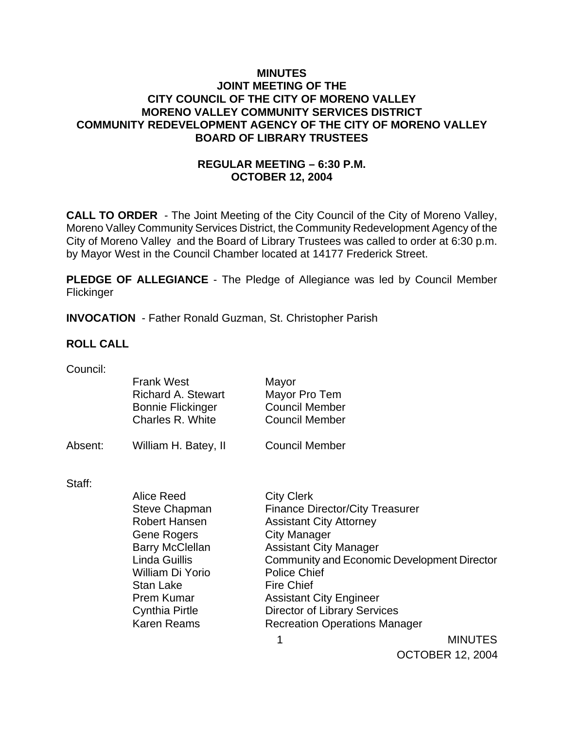# **MINUTES JOINT MEETING OF THE CITY COUNCIL OF THE CITY OF MORENO VALLEY MORENO VALLEY COMMUNITY SERVICES DISTRICT COMMUNITY REDEVELOPMENT AGENCY OF THE CITY OF MORENO VALLEY BOARD OF LIBRARY TRUSTEES**

# **REGULAR MEETING – 6:30 P.M. OCTOBER 12, 2004**

**CALL TO ORDER** - The Joint Meeting of the City Council of the City of Moreno Valley, Moreno Valley Community Services District, the Community Redevelopment Agency of the City of Moreno Valley and the Board of Library Trustees was called to order at 6:30 p.m. by Mayor West in the Council Chamber located at 14177 Frederick Street.

**PLEDGE OF ALLEGIANCE** - The Pledge of Allegiance was led by Council Member **Flickinger** 

**INVOCATION** - Father Ronald Guzman, St. Christopher Parish

## **ROLL CALL**

| Council: |  |
|----------|--|
|          |  |

|         | <b>Frank West</b><br>Richard A. Stewart<br><b>Bonnie Flickinger</b><br>Charles R. White | Mayor<br>Mayor Pro Tem<br><b>Council Member</b><br><b>Council Member</b> |
|---------|-----------------------------------------------------------------------------------------|--------------------------------------------------------------------------|
| Absent: | William H. Batey, II                                                                    | <b>Council Member</b>                                                    |
| Staff:  |                                                                                         |                                                                          |
|         | Alice Reed                                                                              | <b>City Clerk</b>                                                        |
|         | <b>Steve Chapman</b>                                                                    | <b>Finance Director/City Treasurer</b>                                   |
|         | Robert Hansen                                                                           | <b>Assistant City Attorney</b>                                           |
|         | Gene Rogers                                                                             | <b>City Manager</b>                                                      |
|         | <b>Barry McClellan</b>                                                                  | <b>Assistant City Manager</b>                                            |
|         | Linda Guillis                                                                           | Community and Economic Development Director                              |
|         | William Di Yorio                                                                        | <b>Police Chief</b>                                                      |
|         | Stan Lake                                                                               | <b>Fire Chief</b>                                                        |
|         | Prem Kumar                                                                              | <b>Assistant City Engineer</b>                                           |
|         | Cynthia Pirtle                                                                          | <b>Director of Library Services</b>                                      |
|         | Karen Reams                                                                             | <b>Recreation Operations Manager</b>                                     |

1 MINUTES OCTOBER 12, 2004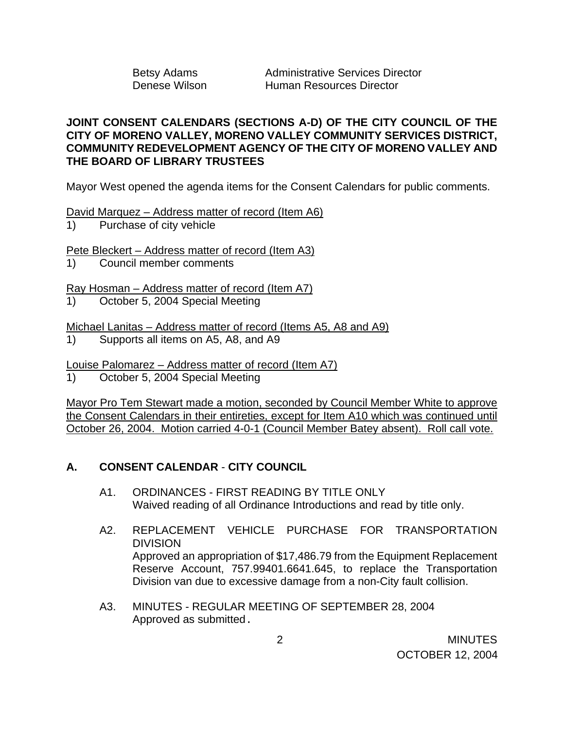Betsy Adams **Administrative Services Director** Denese Wilson Human Resources Director

# **JOINT CONSENT CALENDARS (SECTIONS A-D) OF THE CITY COUNCIL OF THE CITY OF MORENO VALLEY, MORENO VALLEY COMMUNITY SERVICES DISTRICT, COMMUNITY REDEVELOPMENT AGENCY OF THE CITY OF MORENO VALLEY AND THE BOARD OF LIBRARY TRUSTEES**

Mayor West opened the agenda items for the Consent Calendars for public comments.

David Marquez – Address matter of record (Item A6)

1) Purchase of city vehicle

Pete Bleckert – Address matter of record (Item A3)

1) Council member comments

Ray Hosman – Address matter of record (Item A7)

1) October 5, 2004 Special Meeting

Michael Lanitas – Address matter of record (Items A5, A8 and A9)

1) Supports all items on A5, A8, and A9

Louise Palomarez – Address matter of record (Item A7)

1) October 5, 2004 Special Meeting

Mayor Pro Tem Stewart made a motion, seconded by Council Member White to approve the Consent Calendars in their entireties, except for Item A10 which was continued until October 26, 2004. Motion carried 4-0-1 (Council Member Batey absent). Roll call vote.

# **A. CONSENT CALENDAR** - **CITY COUNCIL**

- A1. ORDINANCES FIRST READING BY TITLE ONLY Waived reading of all Ordinance Introductions and read by title only.
- A2. REPLACEMENT VEHICLE PURCHASE FOR TRANSPORTATION DIVISION Approved an appropriation of \$17,486.79 from the Equipment Replacement Reserve Account, 757.99401.6641.645, to replace the Transportation Division van due to excessive damage from a non-City fault collision.
- A3. MINUTES REGULAR MEETING OF SEPTEMBER 28, 2004 Approved as submitted.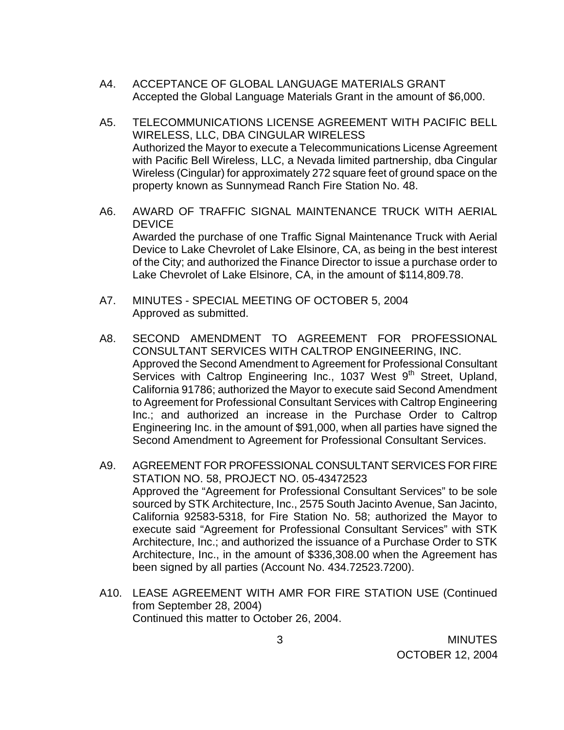- A4. ACCEPTANCE OF GLOBAL LANGUAGE MATERIALS GRANT Accepted the Global Language Materials Grant in the amount of \$6,000.
- A5. TELECOMMUNICATIONS LICENSE AGREEMENT WITH PACIFIC BELL WIRELESS, LLC, DBA CINGULAR WIRELESS Authorized the Mayor to execute a Telecommunications License Agreement with Pacific Bell Wireless, LLC, a Nevada limited partnership, dba Cingular Wireless (Cingular) for approximately 272 square feet of ground space on the property known as Sunnymead Ranch Fire Station No. 48.
- A6. AWARD OF TRAFFIC SIGNAL MAINTENANCE TRUCK WITH AERIAL **DEVICE**  Awarded the purchase of one Traffic Signal Maintenance Truck with Aerial Device to Lake Chevrolet of Lake Elsinore, CA, as being in the best interest of the City; and authorized the Finance Director to issue a purchase order to Lake Chevrolet of Lake Elsinore, CA, in the amount of \$114,809.78.
- A7. MINUTES SPECIAL MEETING OF OCTOBER 5, 2004 Approved as submitted.
- A8. SECOND AMENDMENT TO AGREEMENT FOR PROFESSIONAL CONSULTANT SERVICES WITH CALTROP ENGINEERING, INC. Approved the Second Amendment to Agreement for Professional Consultant Services with Caltrop Engineering Inc., 1037 West 9<sup>th</sup> Street, Upland, California 91786; authorized the Mayor to execute said Second Amendment to Agreement for Professional Consultant Services with Caltrop Engineering Inc.; and authorized an increase in the Purchase Order to Caltrop Engineering Inc. in the amount of \$91,000, when all parties have signed the Second Amendment to Agreement for Professional Consultant Services.
- A9. AGREEMENT FOR PROFESSIONAL CONSULTANT SERVICES FOR FIRE STATION NO. 58, PROJECT NO. 05-43472523 Approved the "Agreement for Professional Consultant Services" to be sole sourced by STK Architecture, Inc., 2575 South Jacinto Avenue, San Jacinto, California 92583-5318, for Fire Station No. 58; authorized the Mayor to execute said "Agreement for Professional Consultant Services" with STK Architecture, Inc.; and authorized the issuance of a Purchase Order to STK Architecture, Inc., in the amount of \$336,308.00 when the Agreement has been signed by all parties (Account No. 434.72523.7200).
- A10. LEASE AGREEMENT WITH AMR FOR FIRE STATION USE (Continued from September 28, 2004) Continued this matter to October 26, 2004.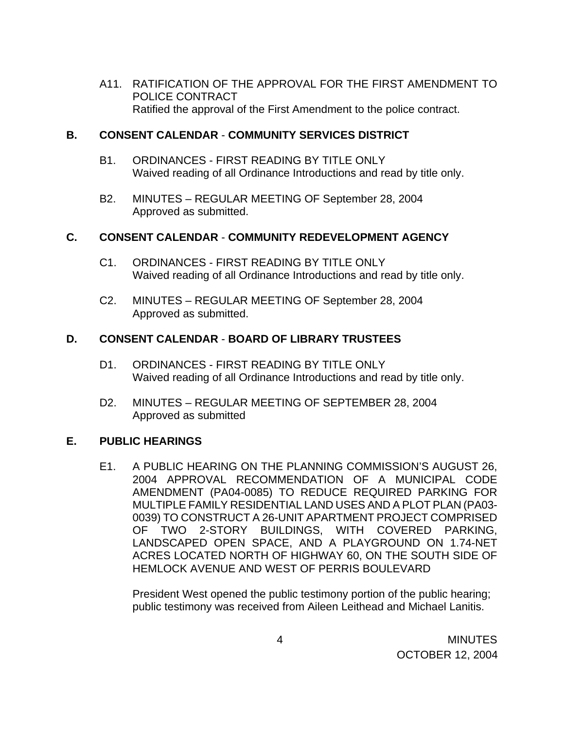A11. RATIFICATION OF THE APPROVAL FOR THE FIRST AMENDMENT TO POLICE CONTRACT Ratified the approval of the First Amendment to the police contract.

## **B. CONSENT CALENDAR** - **COMMUNITY SERVICES DISTRICT**

- B1. ORDINANCES FIRST READING BY TITLE ONLY Waived reading of all Ordinance Introductions and read by title only.
- B2. MINUTES REGULAR MEETING OF September 28, 2004 Approved as submitted.

# **C. CONSENT CALENDAR** - **COMMUNITY REDEVELOPMENT AGENCY**

- C1. ORDINANCES FIRST READING BY TITLE ONLY Waived reading of all Ordinance Introductions and read by title only.
- C2. MINUTES REGULAR MEETING OF September 28, 2004 Approved as submitted.

# **D. CONSENT CALENDAR** - **BOARD OF LIBRARY TRUSTEES**

- D1. ORDINANCES FIRST READING BY TITLE ONLY Waived reading of all Ordinance Introductions and read by title only.
- D2. MINUTES REGULAR MEETING OF SEPTEMBER 28, 2004 Approved as submitted

## **E. PUBLIC HEARINGS**

E1. A PUBLIC HEARING ON THE PLANNING COMMISSION'S AUGUST 26, 2004 APPROVAL RECOMMENDATION OF A MUNICIPAL CODE AMENDMENT (PA04-0085) TO REDUCE REQUIRED PARKING FOR MULTIPLE FAMILY RESIDENTIAL LAND USES AND A PLOT PLAN (PA03- 0039) TO CONSTRUCT A 26-UNIT APARTMENT PROJECT COMPRISED OF TWO 2-STORY BUILDINGS, WITH COVERED PARKING, LANDSCAPED OPEN SPACE, AND A PLAYGROUND ON 1.74-NET ACRES LOCATED NORTH OF HIGHWAY 60, ON THE SOUTH SIDE OF HEMLOCK AVENUE AND WEST OF PERRIS BOULEVARD

 President West opened the public testimony portion of the public hearing; public testimony was received from Aileen Leithead and Michael Lanitis.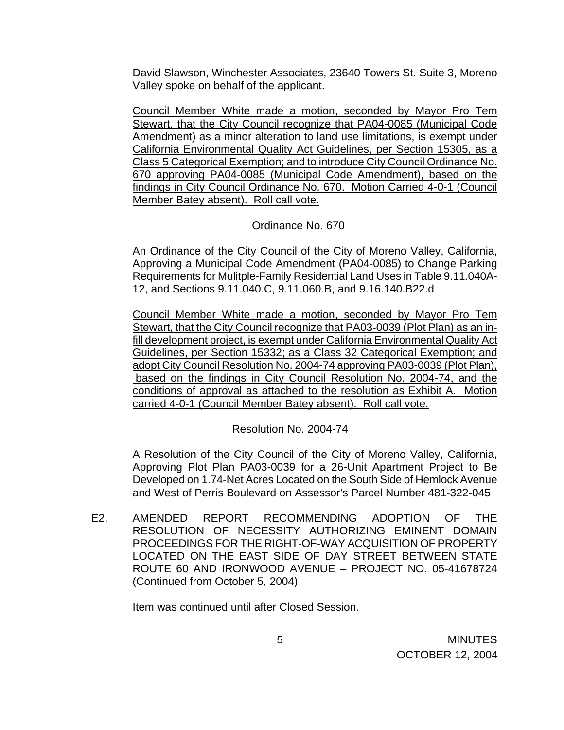David Slawson, Winchester Associates, 23640 Towers St. Suite 3, Moreno Valley spoke on behalf of the applicant.

 Council Member White made a motion, seconded by Mayor Pro Tem Stewart, that the City Council recognize that PA04-0085 (Municipal Code Amendment) as a minor alteration to land use limitations, is exempt under California Environmental Quality Act Guidelines, per Section 15305, as a Class 5 Categorical Exemption; and to introduce City Council Ordinance No. 670 approving PA04-0085 (Municipal Code Amendment), based on the findings in City Council Ordinance No. 670. Motion Carried 4-0-1 (Council Member Batey absent). Roll call vote.

## Ordinance No. 670

An Ordinance of the City Council of the City of Moreno Valley, California, Approving a Municipal Code Amendment (PA04-0085) to Change Parking Requirements for Mulitple-Family Residential Land Uses in Table 9.11.040A-12, and Sections 9.11.040.C, 9.11.060.B, and 9.16.140.B22.d

 Council Member White made a motion, seconded by Mayor Pro Tem Stewart, that the City Council recognize that PA03-0039 (Plot Plan) as an infill development project, is exempt under California Environmental Quality Act Guidelines, per Section 15332; as a Class 32 Categorical Exemption; and adopt City Council Resolution No. 2004-74 approving PA03-0039 (Plot Plan), based on the findings in City Council Resolution No. 2004-74, and the conditions of approval as attached to the resolution as Exhibit A. Motion carried 4-0-1 (Council Member Batey absent). Roll call vote.

Resolution No. 2004-74

A Resolution of the City Council of the City of Moreno Valley, California, Approving Plot Plan PA03-0039 for a 26-Unit Apartment Project to Be Developed on 1.74-Net Acres Located on the South Side of Hemlock Avenue and West of Perris Boulevard on Assessor's Parcel Number 481-322-045

E2. AMENDED REPORT RECOMMENDING ADOPTION OF THE RESOLUTION OF NECESSITY AUTHORIZING EMINENT DOMAIN PROCEEDINGS FOR THE RIGHT-OF-WAY ACQUISITION OF PROPERTY LOCATED ON THE EAST SIDE OF DAY STREET BETWEEN STATE ROUTE 60 AND IRONWOOD AVENUE – PROJECT NO. 05-41678724 (Continued from October 5, 2004)

Item was continued until after Closed Session.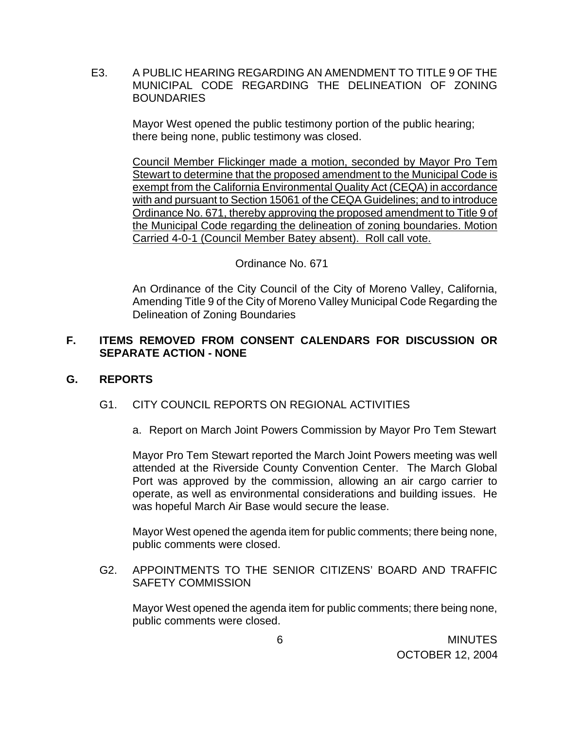E3. A PUBLIC HEARING REGARDING AN AMENDMENT TO TITLE 9 OF THE MUNICIPAL CODE REGARDING THE DELINEATION OF ZONING **BOUNDARIES** 

> Mayor West opened the public testimony portion of the public hearing; there being none, public testimony was closed.

Council Member Flickinger made a motion, seconded by Mayor Pro Tem Stewart to determine that the proposed amendment to the Municipal Code is exempt from the California Environmental Quality Act (CEQA) in accordance with and pursuant to Section 15061 of the CEQA Guidelines; and to introduce Ordinance No. 671, thereby approving the proposed amendment to Title 9 of the Municipal Code regarding the delineation of zoning boundaries. Motion Carried 4-0-1 (Council Member Batey absent). Roll call vote.

## Ordinance No. 671

An Ordinance of the City Council of the City of Moreno Valley, California, Amending Title 9 of the City of Moreno Valley Municipal Code Regarding the Delineation of Zoning Boundaries

# **F. ITEMS REMOVED FROM CONSENT CALENDARS FOR DISCUSSION OR SEPARATE ACTION - NONE**

## **G. REPORTS**

## G1. CITY COUNCIL REPORTS ON REGIONAL ACTIVITIES

a. Report on March Joint Powers Commission by Mayor Pro Tem Stewart

Mayor Pro Tem Stewart reported the March Joint Powers meeting was well attended at the Riverside County Convention Center. The March Global Port was approved by the commission, allowing an air cargo carrier to operate, as well as environmental considerations and building issues. He was hopeful March Air Base would secure the lease.

 Mayor West opened the agenda item for public comments; there being none, public comments were closed.

G2. APPOINTMENTS TO THE SENIOR CITIZENS' BOARD AND TRAFFIC SAFETY COMMISSION

Mayor West opened the agenda item for public comments; there being none, public comments were closed.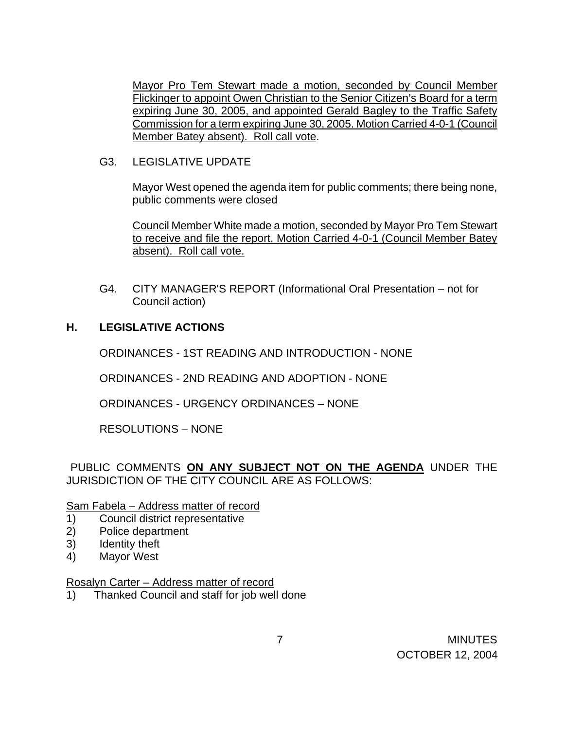Mayor Pro Tem Stewart made a motion, seconded by Council Member Flickinger to appoint Owen Christian to the Senior Citizen's Board for a term expiring June 30, 2005, and appointed Gerald Bagley to the Traffic Safety Commission for a term expiring June 30, 2005. Motion Carried 4-0-1 (Council Member Batey absent). Roll call vote.

G3. LEGISLATIVE UPDATE

Mayor West opened the agenda item for public comments; there being none, public comments were closed

Council Member White made a motion, seconded by Mayor Pro Tem Stewart to receive and file the report. Motion Carried 4-0-1 (Council Member Batey absent). Roll call vote.

G4. CITY MANAGER'S REPORT (Informational Oral Presentation – not for Council action)

# **H. LEGISLATIVE ACTIONS**

ORDINANCES - 1ST READING AND INTRODUCTION - NONE

ORDINANCES - 2ND READING AND ADOPTION - NONE

ORDINANCES - URGENCY ORDINANCES – NONE

RESOLUTIONS – NONE

PUBLIC COMMENTS **ON ANY SUBJECT NOT ON THE AGENDA** UNDER THE JURISDICTION OF THE CITY COUNCIL ARE AS FOLLOWS:

## Sam Fabela – Address matter of record

- 1) Council district representative
- 2) Police department
- 3) Identity theft
- 4) Mayor West

## Rosalyn Carter – Address matter of record

1) Thanked Council and staff for job well done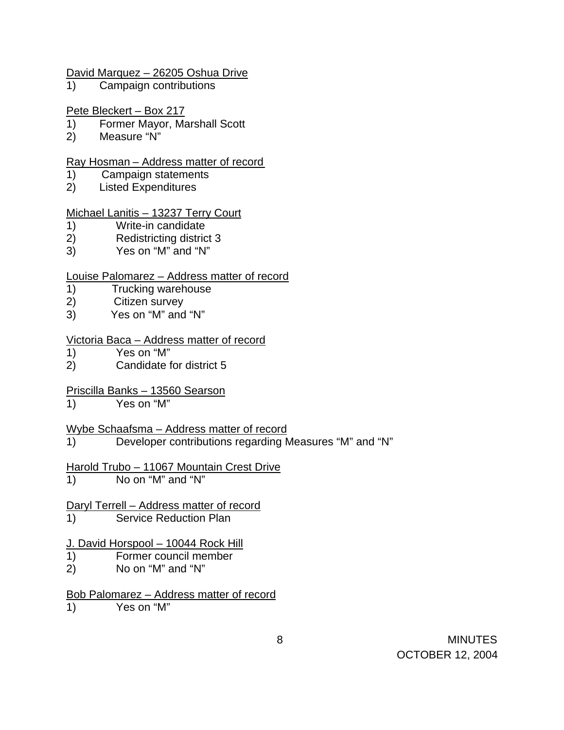#### David Marquez – 26205 Oshua Drive

1) Campaign contributions

#### Pete Bleckert – Box 217

- 1) Former Mayor, Marshall Scott
- 2) Measure "N"

#### Ray Hosman – Address matter of record

- 1) Campaign statements
- 2) Listed Expenditures

#### Michael Lanitis – 13237 Terry Court

- 1) Write-in candidate
- 2) Redistricting district 3
- 3) Yes on "M" and "N"

## Louise Palomarez – Address matter of record

- 1) Trucking warehouse
- 2) Citizen survey
- 3) Yes on "M" and "N"

#### Victoria Baca – Address matter of record

- 1) Yes on "M"
- 2) Candidate for district 5

# Priscilla Banks – 13560 Searson

1) Yes on "M"

## Wybe Schaafsma – Address matter of record

1) Developer contributions regarding Measures "M" and "N"

# Harold Trubo – 11067 Mountain Crest Drive

1) No on "M" and "N"

# Daryl Terrell – Address matter of record

1) Service Reduction Plan

## J. David Horspool - 10044 Rock Hill

- 1) Former council member
- 2) No on "M" and "N"

# Bob Palomarez – Address matter of record

1) Yes on "M"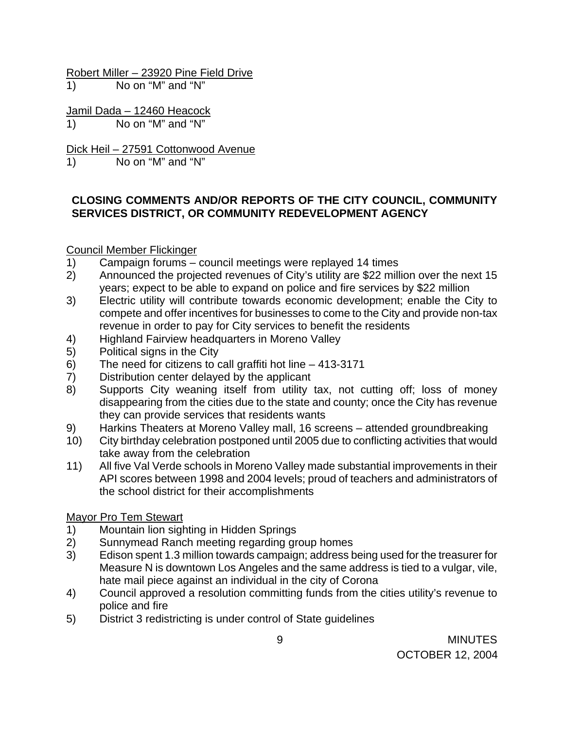Robert Miller – 23920 Pine Field Drive

1) No on "M" and "N"

Jamil Dada - 12460 Heacock 1) No on "M" and "N"

Dick Heil – 27591 Cottonwood Avenue

1) No on "M" and "N"

# **CLOSING COMMENTS AND/OR REPORTS OF THE CITY COUNCIL, COMMUNITY SERVICES DISTRICT, OR COMMUNITY REDEVELOPMENT AGENCY**

# Council Member Flickinger

- 1) Campaign forums council meetings were replayed 14 times
- 2) Announced the projected revenues of City's utility are \$22 million over the next 15 years; expect to be able to expand on police and fire services by \$22 million
- 3) Electric utility will contribute towards economic development; enable the City to compete and offer incentives for businesses to come to the City and provide non-tax revenue in order to pay for City services to benefit the residents
- 4) Highland Fairview headquarters in Moreno Valley
- 5) Political signs in the City
- 6) The need for citizens to call graffiti hot line 413-3171
- 7) Distribution center delayed by the applicant
- 8) Supports City weaning itself from utility tax, not cutting off; loss of money disappearing from the cities due to the state and county; once the City has revenue they can provide services that residents wants
- 9) Harkins Theaters at Moreno Valley mall, 16 screens attended groundbreaking
- 10) City birthday celebration postponed until 2005 due to conflicting activities that would take away from the celebration
- 11) All five Val Verde schools in Moreno Valley made substantial improvements in their API scores between 1998 and 2004 levels; proud of teachers and administrators of the school district for their accomplishments

# Mayor Pro Tem Stewart

- 1) Mountain lion sighting in Hidden Springs
- 2) Sunnymead Ranch meeting regarding group homes<br>3) Edison spent 1.3 million towards campaign; address b
- Edison spent 1.3 million towards campaign; address being used for the treasurer for Measure N is downtown Los Angeles and the same address is tied to a vulgar, vile, hate mail piece against an individual in the city of Corona
- 4) Council approved a resolution committing funds from the cities utility's revenue to police and fire
- 5) District 3 redistricting is under control of State guidelines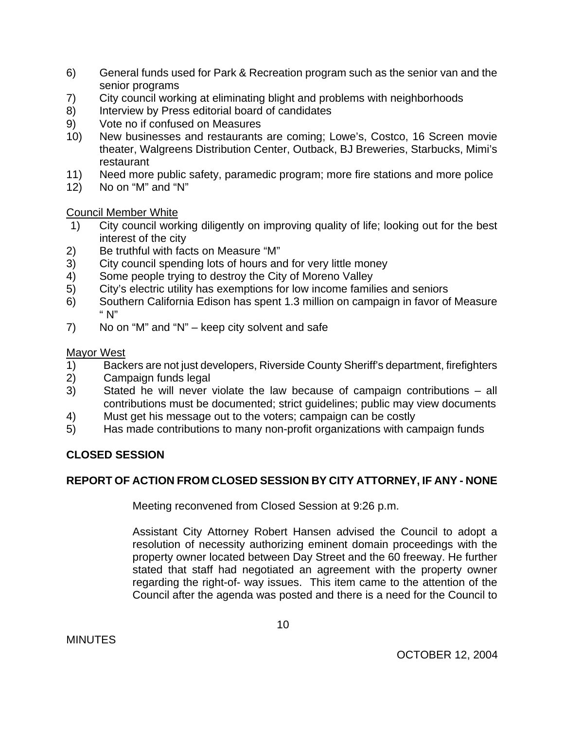- 6) General funds used for Park & Recreation program such as the senior van and the senior programs
- 7) City council working at eliminating blight and problems with neighborhoods
- 8) Interview by Press editorial board of candidates
- 9) Vote no if confused on Measures
- 10) New businesses and restaurants are coming; Lowe's, Costco, 16 Screen movie theater, Walgreens Distribution Center, Outback, BJ Breweries, Starbucks, Mimi's restaurant
- 11) Need more public safety, paramedic program; more fire stations and more police
- 12) No on "M" and "N"

Council Member White

- 1) City council working diligently on improving quality of life; looking out for the best interest of the city
- 2) Be truthful with facts on Measure "M"
- 3) City council spending lots of hours and for very little money
- 4) Some people trying to destroy the City of Moreno Valley
- 5) City's electric utility has exemptions for low income families and seniors
- 6) Southern California Edison has spent 1.3 million on campaign in favor of Measure " N"
- 7) No on "M" and "N" keep city solvent and safe

Mayor West

- 1) Backers are not just developers, Riverside County Sheriff's department, firefighters
- 2) Campaign funds legal
- 3) Stated he will never violate the law because of campaign contributions all contributions must be documented; strict guidelines; public may view documents
- 4) Must get his message out to the voters; campaign can be costly
- 5) Has made contributions to many non-profit organizations with campaign funds

# **CLOSED SESSION**

# **REPORT OF ACTION FROM CLOSED SESSION BY CITY ATTORNEY, IF ANY - NONE**

Meeting reconvened from Closed Session at 9:26 p.m.

Assistant City Attorney Robert Hansen advised the Council to adopt a resolution of necessity authorizing eminent domain proceedings with the property owner located between Day Street and the 60 freeway. He further stated that staff had negotiated an agreement with the property owner regarding the right-of- way issues. This item came to the attention of the Council after the agenda was posted and there is a need for the Council to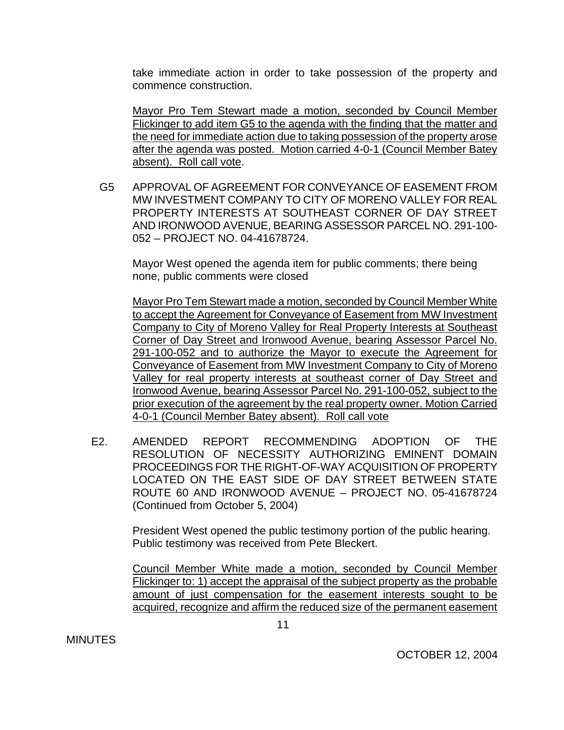take immediate action in order to take possession of the property and commence construction.

Mayor Pro Tem Stewart made a motion, seconded by Council Member Flickinger to add item G5 to the agenda with the finding that the matter and the need for immediate action due to taking possession of the property arose after the agenda was posted. Motion carried 4-0-1 (Council Member Batey absent). Roll call vote.

G5 APPROVAL OF AGREEMENT FOR CONVEYANCE OF EASEMENT FROM MW INVESTMENT COMPANY TO CITY OF MORENO VALLEY FOR REAL PROPERTY INTERESTS AT SOUTHEAST CORNER OF DAY STREET AND IRONWOOD AVENUE, BEARING ASSESSOR PARCEL NO. 291-100- 052 – PROJECT NO. 04-41678724.

Mayor West opened the agenda item for public comments; there being none, public comments were closed

Mayor Pro Tem Stewart made a motion, seconded by Council Member White to accept the Agreement for Conveyance of Easement from MW Investment Company to City of Moreno Valley for Real Property Interests at Southeast Corner of Day Street and Ironwood Avenue, bearing Assessor Parcel No. 291-100-052 and to authorize the Mayor to execute the Agreement for Conveyance of Easement from MW Investment Company to City of Moreno Valley for real property interests at southeast corner of Day Street and Ironwood Avenue, bearing Assessor Parcel No. 291-100-052, subject to the prior execution of the agreement by the real property owner. Motion Carried 4-0-1 (Council Member Batey absent). Roll call vote

E2. AMENDED REPORT RECOMMENDING ADOPTION OF THE RESOLUTION OF NECESSITY AUTHORIZING EMINENT DOMAIN PROCEEDINGS FOR THE RIGHT-OF-WAY ACQUISITION OF PROPERTY LOCATED ON THE EAST SIDE OF DAY STREET BETWEEN STATE ROUTE 60 AND IRONWOOD AVENUE – PROJECT NO. 05-41678724 (Continued from October 5, 2004)

> President West opened the public testimony portion of the public hearing. Public testimony was received from Pete Bleckert.

Council Member White made a motion, seconded by Council Member Flickinger to: 1) accept the appraisal of the subject property as the probable amount of just compensation for the easement interests sought to be acquired, recognize and affirm the reduced size of the permanent easement

**MINUTES**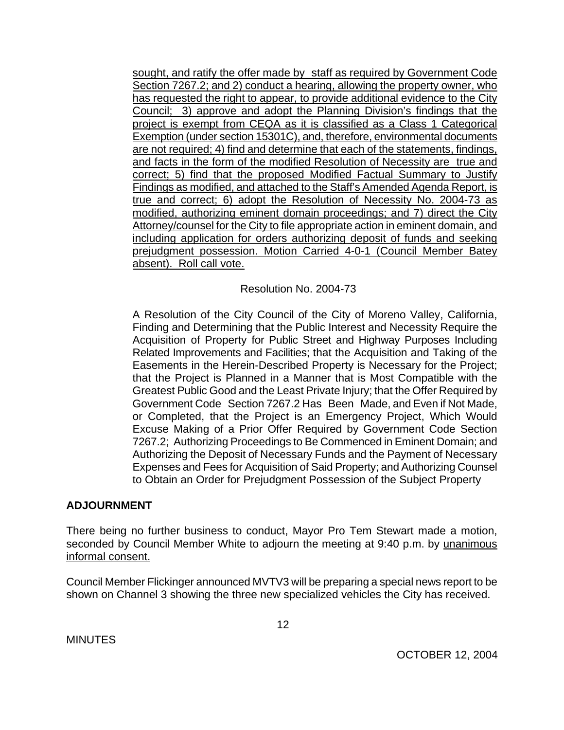sought, and ratify the offer made by staff as required by Government Code Section 7267.2; and 2) conduct a hearing, allowing the property owner, who has requested the right to appear, to provide additional evidence to the City Council; 3) approve and adopt the Planning Division's findings that the project is exempt from CEQA as it is classified as a Class 1 Categorical Exemption (under section 15301C), and, therefore, environmental documents are not required; 4) find and determine that each of the statements, findings, and facts in the form of the modified Resolution of Necessity are true and correct; 5) find that the proposed Modified Factual Summary to Justify Findings as modified, and attached to the Staff's Amended Agenda Report, is true and correct; 6) adopt the Resolution of Necessity No. 2004-73 as modified, authorizing eminent domain proceedings; and 7) direct the City Attorney/counsel for the City to file appropriate action in eminent domain, and including application for orders authorizing deposit of funds and seeking prejudgment possession. Motion Carried 4-0-1 (Council Member Batey absent). Roll call vote.

Resolution No. 2004-73

A Resolution of the City Council of the City of Moreno Valley, California, Finding and Determining that the Public Interest and Necessity Require the Acquisition of Property for Public Street and Highway Purposes Including Related Improvements and Facilities; that the Acquisition and Taking of the Easements in the Herein-Described Property is Necessary for the Project; that the Project is Planned in a Manner that is Most Compatible with the Greatest Public Good and the Least Private Injury; that the Offer Required by Government Code Section 7267.2 Has Been Made, and Even if Not Made, or Completed, that the Project is an Emergency Project, Which Would Excuse Making of a Prior Offer Required by Government Code Section 7267.2; Authorizing Proceedings to Be Commenced in Eminent Domain; and Authorizing the Deposit of Necessary Funds and the Payment of Necessary Expenses and Fees for Acquisition of Said Property; and Authorizing Counsel to Obtain an Order for Prejudgment Possession of the Subject Property

## **ADJOURNMENT**

There being no further business to conduct, Mayor Pro Tem Stewart made a motion, seconded by Council Member White to adjourn the meeting at 9:40 p.m. by unanimous informal consent.

Council Member Flickinger announced MVTV3 will be preparing a special news report to be shown on Channel 3 showing the three new specialized vehicles the City has received.

**MINUTES**